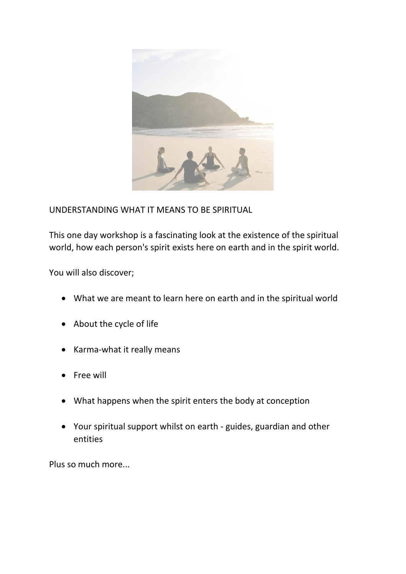

UNDERSTANDING WHAT IT MEANS TO BE SPIRITUAL

This one day workshop is a fascinating look at the existence of the spiritual world, how each person's spirit exists here on earth and in the spirit world.

You will also discover;

- What we are meant to learn here on earth and in the spiritual world
- About the cycle of life
- Karma-what it really means
- Free will
- What happens when the spirit enters the body at conception
- Your spiritual support whilst on earth guides, guardian and other entities

Plus so much more...